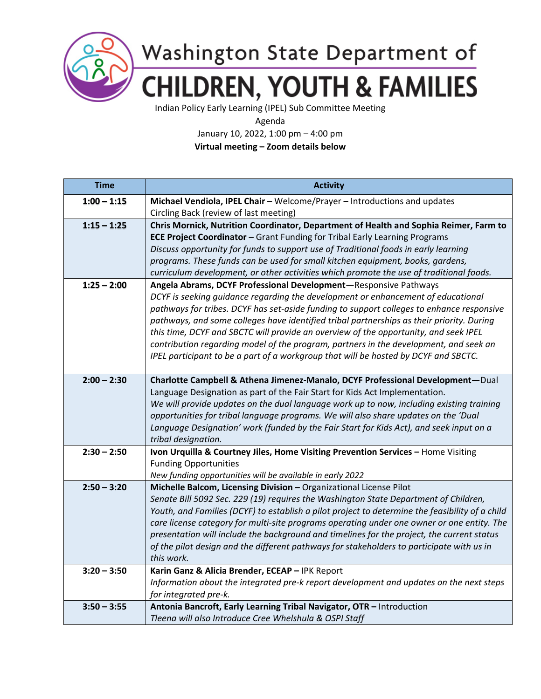

Washington State Department of **CHILDREN, YOUTH & FAMILIES** 

Indian Policy Early Learning (IPEL) Sub Committee Meeting

Agenda

January 10, 2022, 1:00 pm – 4:00 pm

**Virtual meeting – Zoom details below**

| <b>Time</b>   | <b>Activity</b>                                                                                                                                                                   |
|---------------|-----------------------------------------------------------------------------------------------------------------------------------------------------------------------------------|
| $1:00 - 1:15$ | Michael Vendiola, IPEL Chair - Welcome/Prayer - Introductions and updates                                                                                                         |
|               | Circling Back (review of last meeting)                                                                                                                                            |
| $1:15 - 1:25$ | Chris Mornick, Nutrition Coordinator, Department of Health and Sophia Reimer, Farm to                                                                                             |
|               | <b>ECE Project Coordinator - Grant Funding for Tribal Early Learning Programs</b>                                                                                                 |
|               | Discuss opportunity for funds to support use of Traditional foods in early learning                                                                                               |
|               | programs. These funds can be used for small kitchen equipment, books, gardens,                                                                                                    |
|               | curriculum development, or other activities which promote the use of traditional foods.                                                                                           |
| $1:25 - 2:00$ | Angela Abrams, DCYF Professional Development-Responsive Pathways                                                                                                                  |
|               | DCYF is seeking guidance regarding the development or enhancement of educational                                                                                                  |
|               | pathways for tribes. DCYF has set-aside funding to support colleges to enhance responsive                                                                                         |
|               | pathways, and some colleges have identified tribal partnerships as their priority. During<br>this time, DCYF and SBCTC will provide an overview of the opportunity, and seek IPEL |
|               | contribution regarding model of the program, partners in the development, and seek an                                                                                             |
|               | IPEL participant to be a part of a workgroup that will be hosted by DCYF and SBCTC.                                                                                               |
|               |                                                                                                                                                                                   |
| $2:00 - 2:30$ | Charlotte Campbell & Athena Jimenez-Manalo, DCYF Professional Development-Dual                                                                                                    |
|               | Language Designation as part of the Fair Start for Kids Act Implementation.                                                                                                       |
|               | We will provide updates on the dual language work up to now, including existing training                                                                                          |
|               | opportunities for tribal language programs. We will also share updates on the 'Dual                                                                                               |
|               | Language Designation' work (funded by the Fair Start for Kids Act), and seek input on a                                                                                           |
|               | tribal designation.                                                                                                                                                               |
| $2:30 - 2:50$ | Ivon Urquilla & Courtney Jiles, Home Visiting Prevention Services - Home Visiting                                                                                                 |
|               | <b>Funding Opportunities</b>                                                                                                                                                      |
|               | New funding opportunities will be available in early 2022                                                                                                                         |
| $2:50 - 3:20$ | Michelle Balcom, Licensing Division - Organizational License Pilot                                                                                                                |
|               | Senate Bill 5092 Sec. 229 (19) requires the Washington State Department of Children,                                                                                              |
|               | Youth, and Families (DCYF) to establish a pilot project to determine the feasibility of a child                                                                                   |
|               | care license category for multi-site programs operating under one owner or one entity. The                                                                                        |
|               | presentation will include the background and timelines for the project, the current status                                                                                        |
|               | of the pilot design and the different pathways for stakeholders to participate with us in<br>this work.                                                                           |
| $3:20 - 3:50$ | Karin Ganz & Alicia Brender, ECEAP - IPK Report                                                                                                                                   |
|               | Information about the integrated pre-k report development and updates on the next steps                                                                                           |
|               | for integrated pre-k.                                                                                                                                                             |
| $3:50 - 3:55$ | Antonia Bancroft, Early Learning Tribal Navigator, OTR - Introduction                                                                                                             |
|               | Tleena will also Introduce Cree Whelshula & OSPI Staff                                                                                                                            |